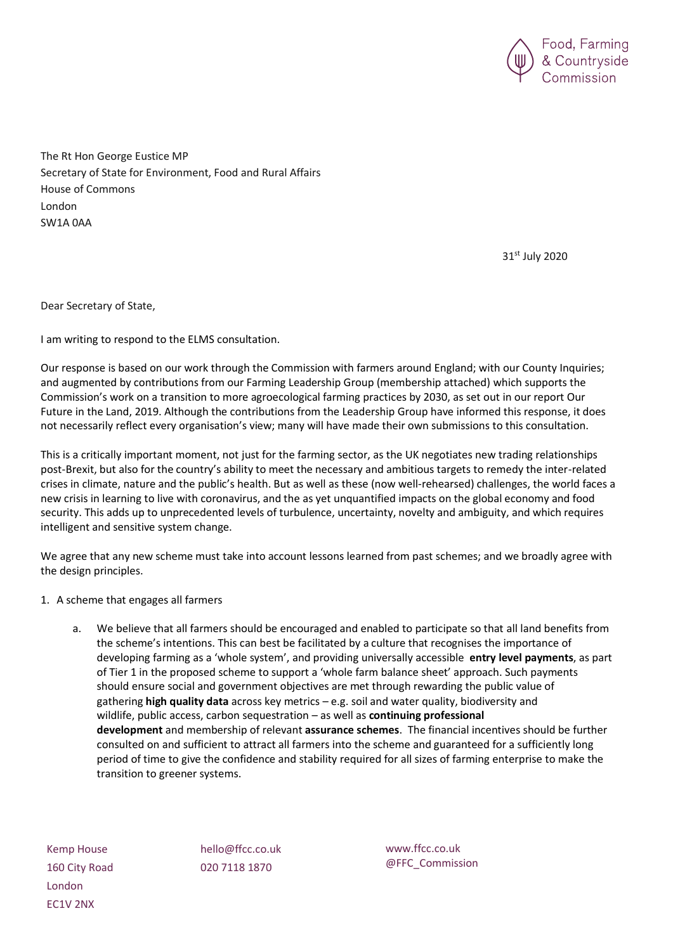

The Rt Hon George Eustice MP Secretary of State for Environment, Food and Rural Affairs House of Commons London SW1A 0AA

31st July 2020

Dear Secretary of State,

I am writing to respond to the ELMS consultation.

Our response is based on our work through the Commission with farmers around England; with our County Inquiries; and augmented by contributions from our Farming Leadership Group (membership attached) which supports the Commission's work on a transition to more agroecological farming practices by 2030, as set out in our report Our Future in the Land, 2019. Although the contributions from the Leadership Group have informed this response, it does not necessarily reflect every organisation's view; many will have made their own submissions to this consultation.

This is a critically important moment, not just for the farming sector, as the UK negotiates new trading relationships post-Brexit, but also for the country's ability to meet the necessary and ambitious targets to remedy the inter-related crises in climate, nature and the public's health. But as well as these (now well-rehearsed) challenges, the world faces a new crisis in learning to live with coronavirus, and the as yet unquantified impacts on the global economy and food security. This adds up to unprecedented levels of turbulence, uncertainty, novelty and ambiguity, and which requires intelligent and sensitive system change.

We agree that any new scheme must take into account lessons learned from past schemes; and we broadly agree with the design principles.

- 1. A scheme that engages all farmers
	- a. We believe that all farmers should be encouraged and enabled to participate so that all land benefits from the scheme's intentions. This can best be facilitated by a culture that recognises the importance of developing farming as a 'whole system', and providing universally accessible **entry level payments**, as part of Tier 1 in the proposed scheme to support a 'whole farm balance sheet' approach. Such payments should ensure social and government objectives are met through rewarding the public value of gathering **high quality data** across key metrics – e.g. soil and water quality, biodiversity and wildlife, public access, carbon sequestration – as well as **continuing professional development** and membership of relevant **assurance schemes**. The financial incentives should be further consulted on and sufficient to attract all farmers into the scheme and guaranteed for a sufficiently long period of time to give the confidence and stability required for all sizes of farming enterprise to make the transition to greener systems.

Kemp House 160 City Road London EC1V 2NX

hello@ffcc.co.uk 020 7118 1870

www.ffcc.co.uk @FFC\_Commission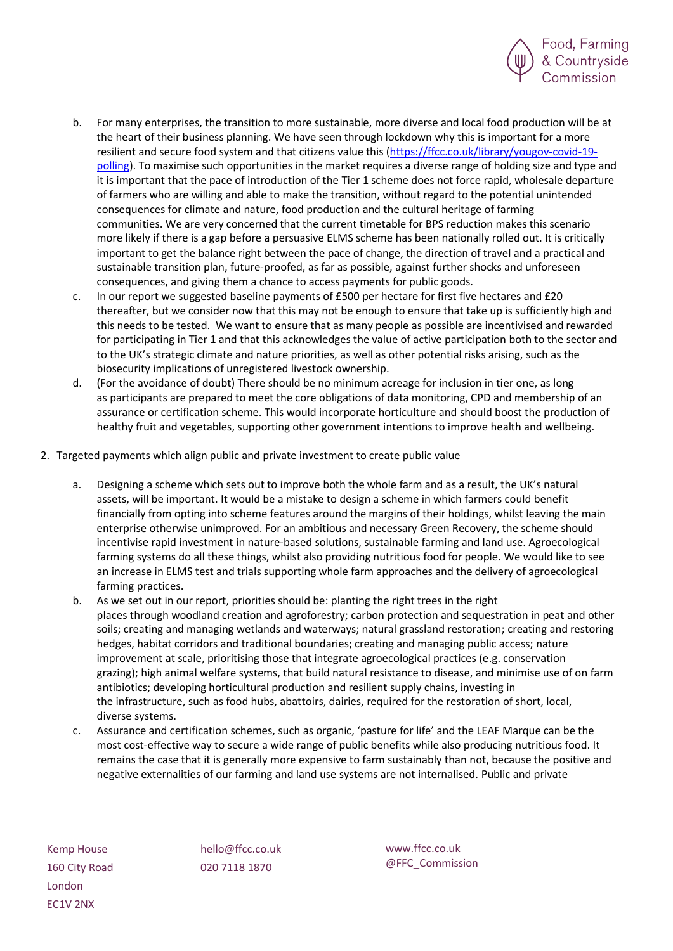

- b. For many enterprises, the transition to more sustainable, more diverse and local food production will be at the heart of their business planning. We have seen through lockdown why this is important for a more resilient and secure food system and that citizens value this [\(https://ffcc.co.uk/library/yougov-covid-19](https://ffcc.co.uk/library/yougov-covid-19-polling) [polling\)](https://ffcc.co.uk/library/yougov-covid-19-polling). To maximise such opportunities in the market requires a diverse range of holding size and type and it is important that the pace of introduction of the Tier 1 scheme does not force rapid, wholesale departure of farmers who are willing and able to make the transition, without regard to the potential unintended consequences for climate and nature, food production and the cultural heritage of farming communities. We are very concerned that the current timetable for BPS reduction makes this scenario more likely if there is a gap before a persuasive ELMS scheme has been nationally rolled out. It is critically important to get the balance right between the pace of change, the direction of travel and a practical and sustainable transition plan, future-proofed, as far as possible, against further shocks and unforeseen consequences, and giving them a chance to access payments for public goods.
- c. In our report we suggested baseline payments of £500 per hectare for first five hectares and £20 thereafter, but we consider now that this may not be enough to ensure that take up is sufficiently high and this needs to be tested. We want to ensure that as many people as possible are incentivised and rewarded for participating in Tier 1 and that this acknowledges the value of active participation both to the sector and to the UK's strategic climate and nature priorities, as well as other potential risks arising, such as the biosecurity implications of unregistered livestock ownership.
- d. (For the avoidance of doubt) There should be no minimum acreage for inclusion in tier one, as long as participants are prepared to meet the core obligations of data monitoring, CPD and membership of an assurance or certification scheme. This would incorporate horticulture and should boost the production of healthy fruit and vegetables, supporting other government intentions to improve health and wellbeing.
- 2. Targeted payments which align public and private investment to create public value
	- a. Designing a scheme which sets out to improve both the whole farm and as a result, the UK's natural assets, will be important. It would be a mistake to design a scheme in which farmers could benefit financially from opting into scheme features around the margins of their holdings, whilst leaving the main enterprise otherwise unimproved. For an ambitious and necessary Green Recovery, the scheme should incentivise rapid investment in nature-based solutions, sustainable farming and land use. Agroecological farming systems do all these things, whilst also providing nutritious food for people. We would like to see an increase in ELMS test and trials supporting whole farm approaches and the delivery of agroecological farming practices.
	- b. As we set out in our report, priorities should be: planting the right trees in the right places through woodland creation and agroforestry; carbon protection and sequestration in peat and other soils; creating and managing wetlands and waterways; natural grassland restoration; creating and restoring hedges, habitat corridors and traditional boundaries; creating and managing public access; nature improvement at scale, prioritising those that integrate agroecological practices (e.g. conservation grazing); high animal welfare systems, that build natural resistance to disease, and minimise use of on farm antibiotics; developing horticultural production and resilient supply chains, investing in the infrastructure, such as food hubs, abattoirs, dairies, required for the restoration of short, local, diverse systems.
	- c. Assurance and certification schemes, such as organic, 'pasture for life' and the LEAF Marque can be the most cost-effective way to secure a wide range of public benefits while also producing nutritious food. It remains the case that it is generally more expensive to farm sustainably than not, because the positive and negative externalities of our farming and land use systems are not internalised. Public and private

Kemp House 160 City Road London EC1V 2NX

hello@ffcc.co.uk 020 7118 1870

www.ffcc.co.uk @FFC\_Commission